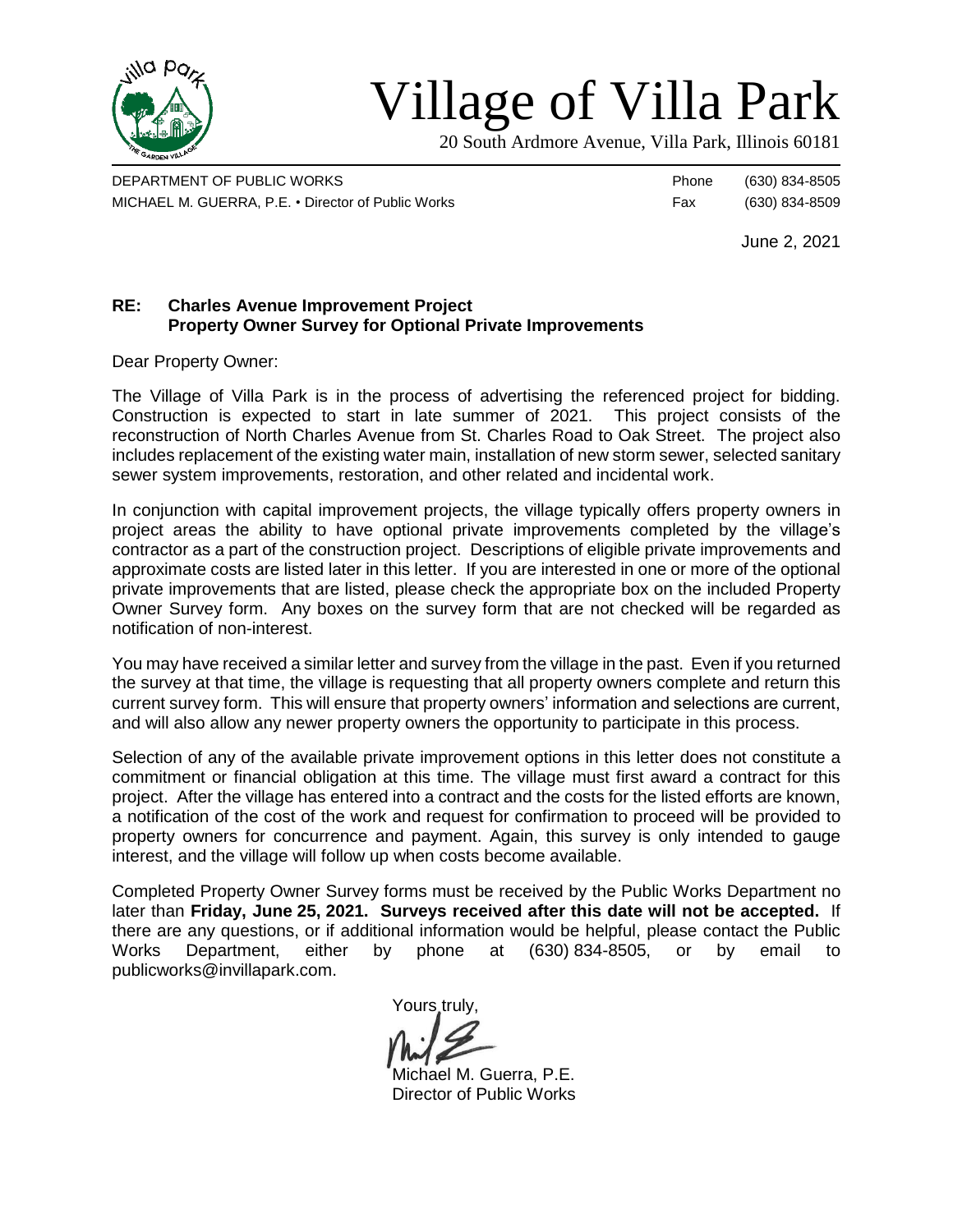

# Village of Villa Park

20 South Ardmore Avenue, Villa Park, Illinois 60181

DEPARTMENT OF PUBLIC WORKS **Phone** (630) 834-8505 MICHAEL M. GUERRA, P.E. • Director of Public Works Fax (630) 834-8509

June 2, 2021

# **RE: Charles Avenue Improvement Project Property Owner Survey for Optional Private Improvements**

Dear Property Owner:

The Village of Villa Park is in the process of advertising the referenced project for bidding. Construction is expected to start in late summer of 2021. This project consists of the reconstruction of North Charles Avenue from St. Charles Road to Oak Street. The project also includes replacement of the existing water main, installation of new storm sewer, selected sanitary sewer system improvements, restoration, and other related and incidental work.

In conjunction with capital improvement projects, the village typically offers property owners in project areas the ability to have optional private improvements completed by the village's contractor as a part of the construction project. Descriptions of eligible private improvements and approximate costs are listed later in this letter. If you are interested in one or more of the optional private improvements that are listed, please check the appropriate box on the included Property Owner Survey form. Any boxes on the survey form that are not checked will be regarded as notification of non-interest.

You may have received a similar letter and survey from the village in the past. Even if you returned the survey at that time, the village is requesting that all property owners complete and return this current survey form. This will ensure that property owners' information and selections are current, and will also allow any newer property owners the opportunity to participate in this process.

Selection of any of the available private improvement options in this letter does not constitute a commitment or financial obligation at this time. The village must first award a contract for this project. After the village has entered into a contract and the costs for the listed efforts are known, a notification of the cost of the work and request for confirmation to proceed will be provided to property owners for concurrence and payment. Again, this survey is only intended to gauge interest, and the village will follow up when costs become available.

Completed Property Owner Survey forms must be received by the Public Works Department no later than **Friday, June 25, 2021. Surveys received after this date will not be accepted.** If there are any questions, or if additional information would be helpful, please contact the Public Works Department, either by phone at (630) 834-8505, or by email to publicworks@invillapark.com.

Yours truly,

Michael M. Guerra, P.E. Director of Public Works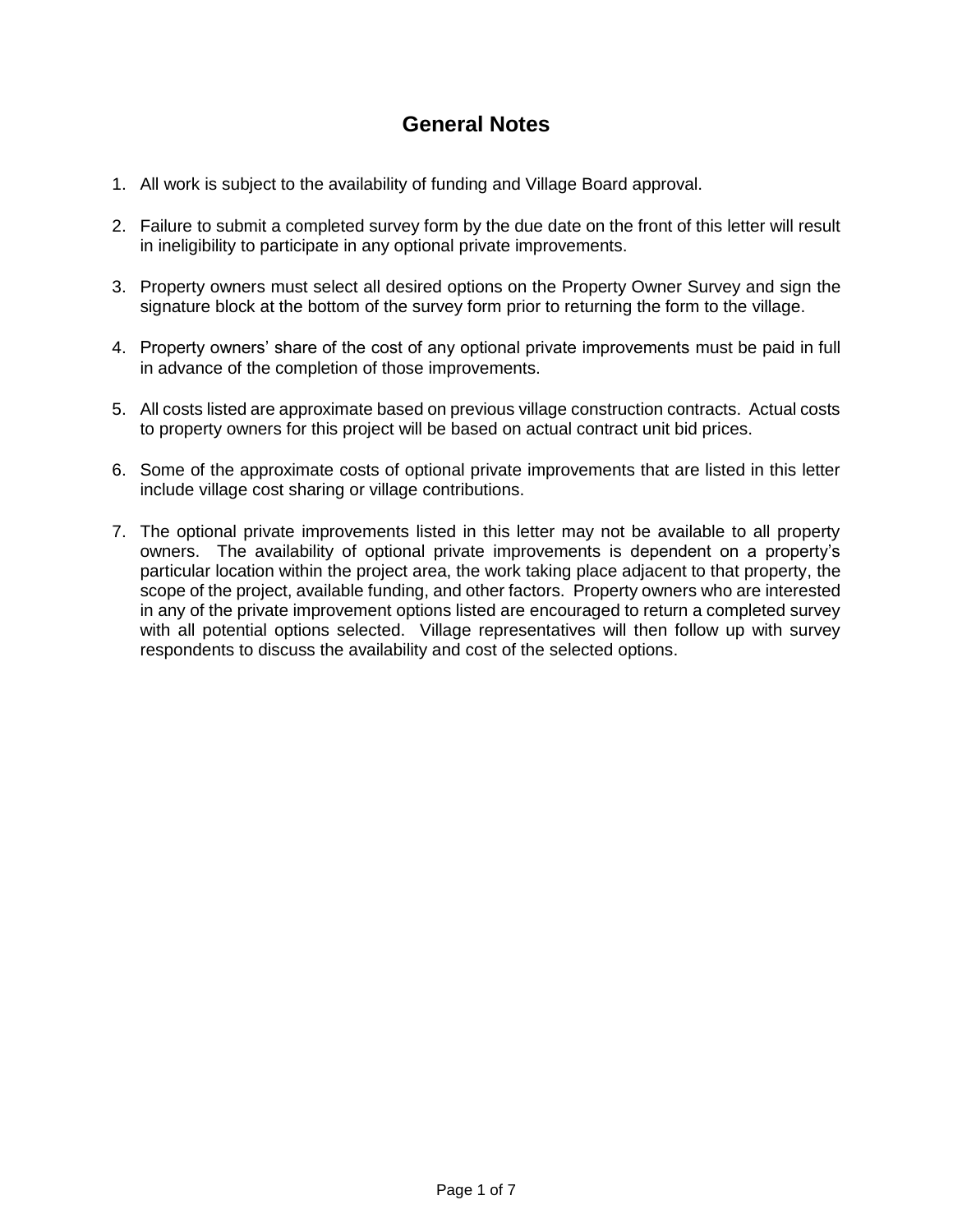# **General Notes**

- 1. All work is subject to the availability of funding and Village Board approval.
- 2. Failure to submit a completed survey form by the due date on the front of this letter will result in ineligibility to participate in any optional private improvements.
- 3. Property owners must select all desired options on the Property Owner Survey and sign the signature block at the bottom of the survey form prior to returning the form to the village.
- 4. Property owners' share of the cost of any optional private improvements must be paid in full in advance of the completion of those improvements.
- 5. All costs listed are approximate based on previous village construction contracts. Actual costs to property owners for this project will be based on actual contract unit bid prices.
- 6. Some of the approximate costs of optional private improvements that are listed in this letter include village cost sharing or village contributions.
- 7. The optional private improvements listed in this letter may not be available to all property owners. The availability of optional private improvements is dependent on a property's particular location within the project area, the work taking place adjacent to that property, the scope of the project, available funding, and other factors. Property owners who are interested in any of the private improvement options listed are encouraged to return a completed survey with all potential options selected. Village representatives will then follow up with survey respondents to discuss the availability and cost of the selected options.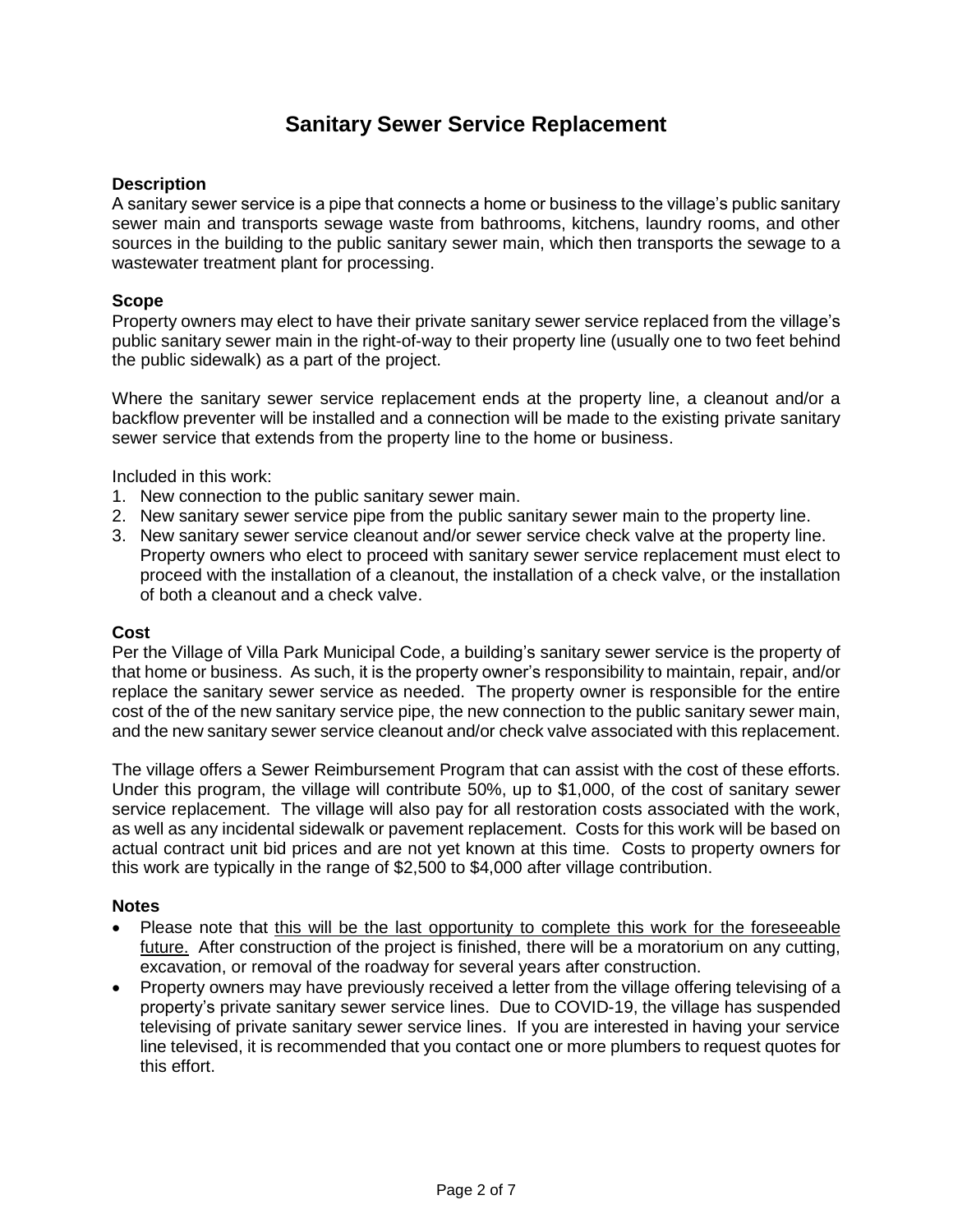# **Sanitary Sewer Service Replacement**

## **Description**

A sanitary sewer service is a pipe that connects a home or business to the village's public sanitary sewer main and transports sewage waste from bathrooms, kitchens, laundry rooms, and other sources in the building to the public sanitary sewer main, which then transports the sewage to a wastewater treatment plant for processing.

#### **Scope**

Property owners may elect to have their private sanitary sewer service replaced from the village's public sanitary sewer main in the right-of-way to their property line (usually one to two feet behind the public sidewalk) as a part of the project.

Where the sanitary sewer service replacement ends at the property line, a cleanout and/or a backflow preventer will be installed and a connection will be made to the existing private sanitary sewer service that extends from the property line to the home or business.

Included in this work:

- 1. New connection to the public sanitary sewer main.
- 2. New sanitary sewer service pipe from the public sanitary sewer main to the property line.
- 3. New sanitary sewer service cleanout and/or sewer service check valve at the property line. Property owners who elect to proceed with sanitary sewer service replacement must elect to proceed with the installation of a cleanout, the installation of a check valve, or the installation of both a cleanout and a check valve.

#### **Cost**

Per the Village of Villa Park Municipal Code, a building's sanitary sewer service is the property of that home or business. As such, it is the property owner's responsibility to maintain, repair, and/or replace the sanitary sewer service as needed. The property owner is responsible for the entire cost of the of the new sanitary service pipe, the new connection to the public sanitary sewer main, and the new sanitary sewer service cleanout and/or check valve associated with this replacement.

The village offers a Sewer Reimbursement Program that can assist with the cost of these efforts. Under this program, the village will contribute 50%, up to \$1,000, of the cost of sanitary sewer service replacement. The village will also pay for all restoration costs associated with the work, as well as any incidental sidewalk or pavement replacement. Costs for this work will be based on actual contract unit bid prices and are not yet known at this time. Costs to property owners for this work are typically in the range of \$2,500 to \$4,000 after village contribution.

#### **Notes**

- Please note that this will be the last opportunity to complete this work for the foreseeable future. After construction of the project is finished, there will be a moratorium on any cutting, excavation, or removal of the roadway for several years after construction.
- Property owners may have previously received a letter from the village offering televising of a property's private sanitary sewer service lines. Due to COVID-19, the village has suspended televising of private sanitary sewer service lines. If you are interested in having your service line televised, it is recommended that you contact one or more plumbers to request quotes for this effort.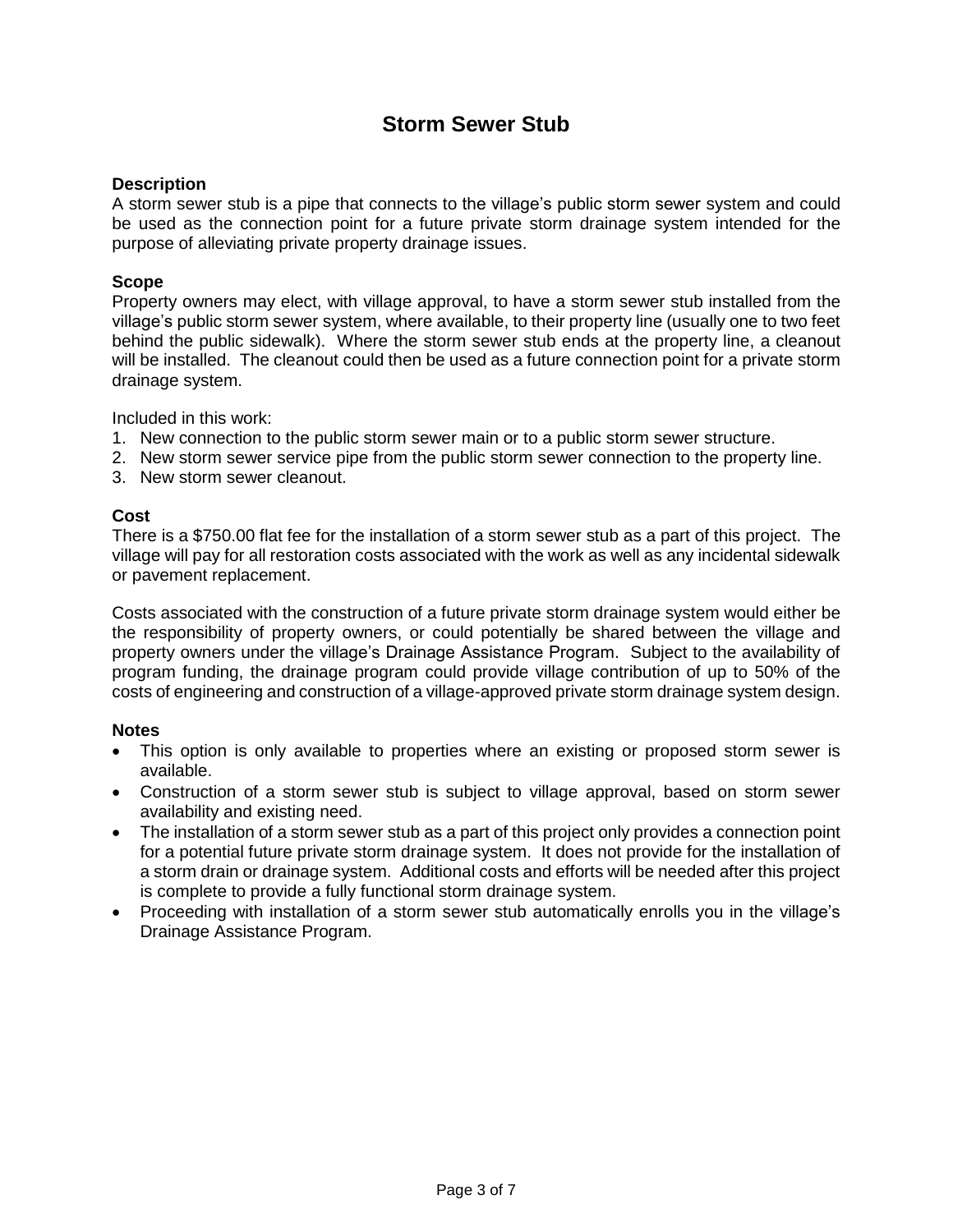# **Storm Sewer Stub**

## **Description**

A storm sewer stub is a pipe that connects to the village's public storm sewer system and could be used as the connection point for a future private storm drainage system intended for the purpose of alleviating private property drainage issues.

# **Scope**

Property owners may elect, with village approval, to have a storm sewer stub installed from the village's public storm sewer system, where available, to their property line (usually one to two feet behind the public sidewalk). Where the storm sewer stub ends at the property line, a cleanout will be installed. The cleanout could then be used as a future connection point for a private storm drainage system.

Included in this work:

- 1. New connection to the public storm sewer main or to a public storm sewer structure.
- 2. New storm sewer service pipe from the public storm sewer connection to the property line.
- 3. New storm sewer cleanout.

## **Cost**

There is a \$750.00 flat fee for the installation of a storm sewer stub as a part of this project. The village will pay for all restoration costs associated with the work as well as any incidental sidewalk or pavement replacement.

Costs associated with the construction of a future private storm drainage system would either be the responsibility of property owners, or could potentially be shared between the village and property owners under the village's Drainage Assistance Program. Subject to the availability of program funding, the drainage program could provide village contribution of up to 50% of the costs of engineering and construction of a village-approved private storm drainage system design.

#### **Notes**

- This option is only available to properties where an existing or proposed storm sewer is available.
- Construction of a storm sewer stub is subject to village approval, based on storm sewer availability and existing need.
- The installation of a storm sewer stub as a part of this project only provides a connection point for a potential future private storm drainage system. It does not provide for the installation of a storm drain or drainage system. Additional costs and efforts will be needed after this project is complete to provide a fully functional storm drainage system.
- Proceeding with installation of a storm sewer stub automatically enrolls you in the village's Drainage Assistance Program.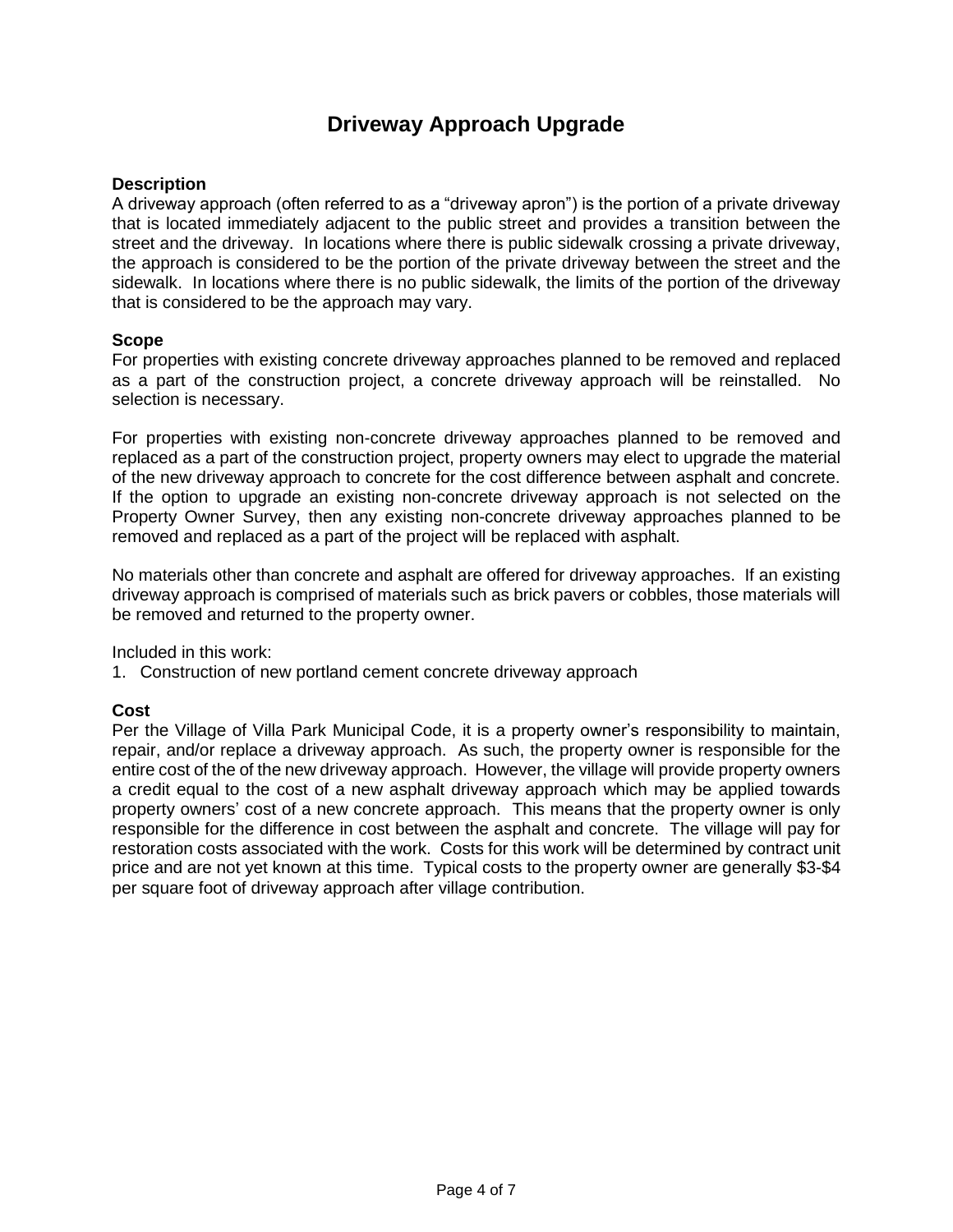# **Driveway Approach Upgrade**

#### **Description**

A driveway approach (often referred to as a "driveway apron") is the portion of a private driveway that is located immediately adjacent to the public street and provides a transition between the street and the driveway. In locations where there is public sidewalk crossing a private driveway, the approach is considered to be the portion of the private driveway between the street and the sidewalk. In locations where there is no public sidewalk, the limits of the portion of the driveway that is considered to be the approach may vary.

#### **Scope**

For properties with existing concrete driveway approaches planned to be removed and replaced as a part of the construction project, a concrete driveway approach will be reinstalled. No selection is necessary.

For properties with existing non-concrete driveway approaches planned to be removed and replaced as a part of the construction project, property owners may elect to upgrade the material of the new driveway approach to concrete for the cost difference between asphalt and concrete. If the option to upgrade an existing non-concrete driveway approach is not selected on the Property Owner Survey, then any existing non-concrete driveway approaches planned to be removed and replaced as a part of the project will be replaced with asphalt.

No materials other than concrete and asphalt are offered for driveway approaches. If an existing driveway approach is comprised of materials such as brick pavers or cobbles, those materials will be removed and returned to the property owner.

Included in this work:

1. Construction of new portland cement concrete driveway approach

# **Cost**

Per the Village of Villa Park Municipal Code, it is a property owner's responsibility to maintain, repair, and/or replace a driveway approach. As such, the property owner is responsible for the entire cost of the of the new driveway approach. However, the village will provide property owners a credit equal to the cost of a new asphalt driveway approach which may be applied towards property owners' cost of a new concrete approach. This means that the property owner is only responsible for the difference in cost between the asphalt and concrete. The village will pay for restoration costs associated with the work. Costs for this work will be determined by contract unit price and are not yet known at this time. Typical costs to the property owner are generally \$3-\$4 per square foot of driveway approach after village contribution.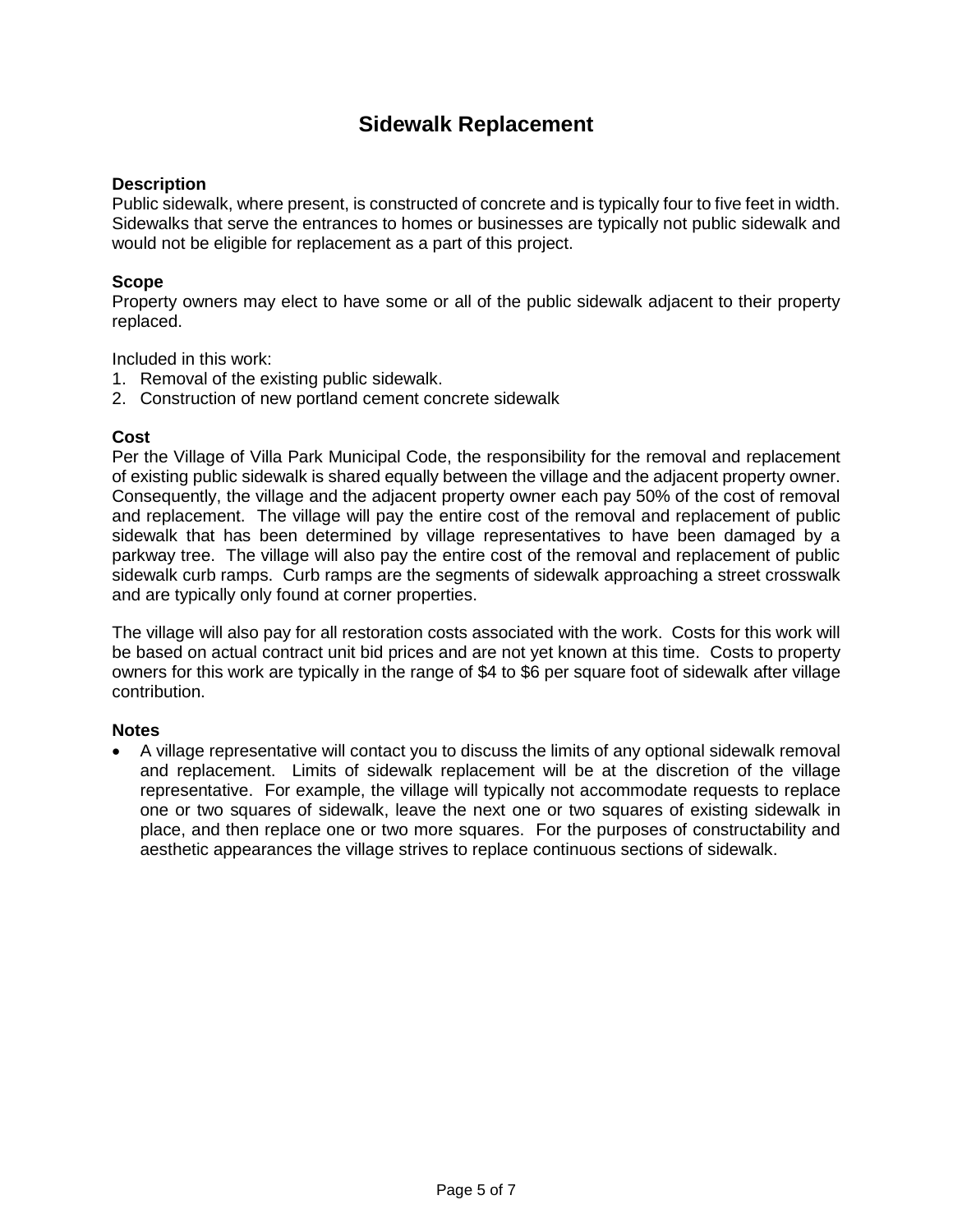# **Sidewalk Replacement**

## **Description**

Public sidewalk, where present, is constructed of concrete and is typically four to five feet in width. Sidewalks that serve the entrances to homes or businesses are typically not public sidewalk and would not be eligible for replacement as a part of this project.

# **Scope**

Property owners may elect to have some or all of the public sidewalk adjacent to their property replaced.

Included in this work:

- 1. Removal of the existing public sidewalk.
- 2. Construction of new portland cement concrete sidewalk

#### **Cost**

Per the Village of Villa Park Municipal Code, the responsibility for the removal and replacement of existing public sidewalk is shared equally between the village and the adjacent property owner. Consequently, the village and the adjacent property owner each pay 50% of the cost of removal and replacement. The village will pay the entire cost of the removal and replacement of public sidewalk that has been determined by village representatives to have been damaged by a parkway tree. The village will also pay the entire cost of the removal and replacement of public sidewalk curb ramps. Curb ramps are the segments of sidewalk approaching a street crosswalk and are typically only found at corner properties.

The village will also pay for all restoration costs associated with the work. Costs for this work will be based on actual contract unit bid prices and are not yet known at this time. Costs to property owners for this work are typically in the range of \$4 to \$6 per square foot of sidewalk after village contribution.

#### **Notes**

 A village representative will contact you to discuss the limits of any optional sidewalk removal and replacement. Limits of sidewalk replacement will be at the discretion of the village representative. For example, the village will typically not accommodate requests to replace one or two squares of sidewalk, leave the next one or two squares of existing sidewalk in place, and then replace one or two more squares. For the purposes of constructability and aesthetic appearances the village strives to replace continuous sections of sidewalk.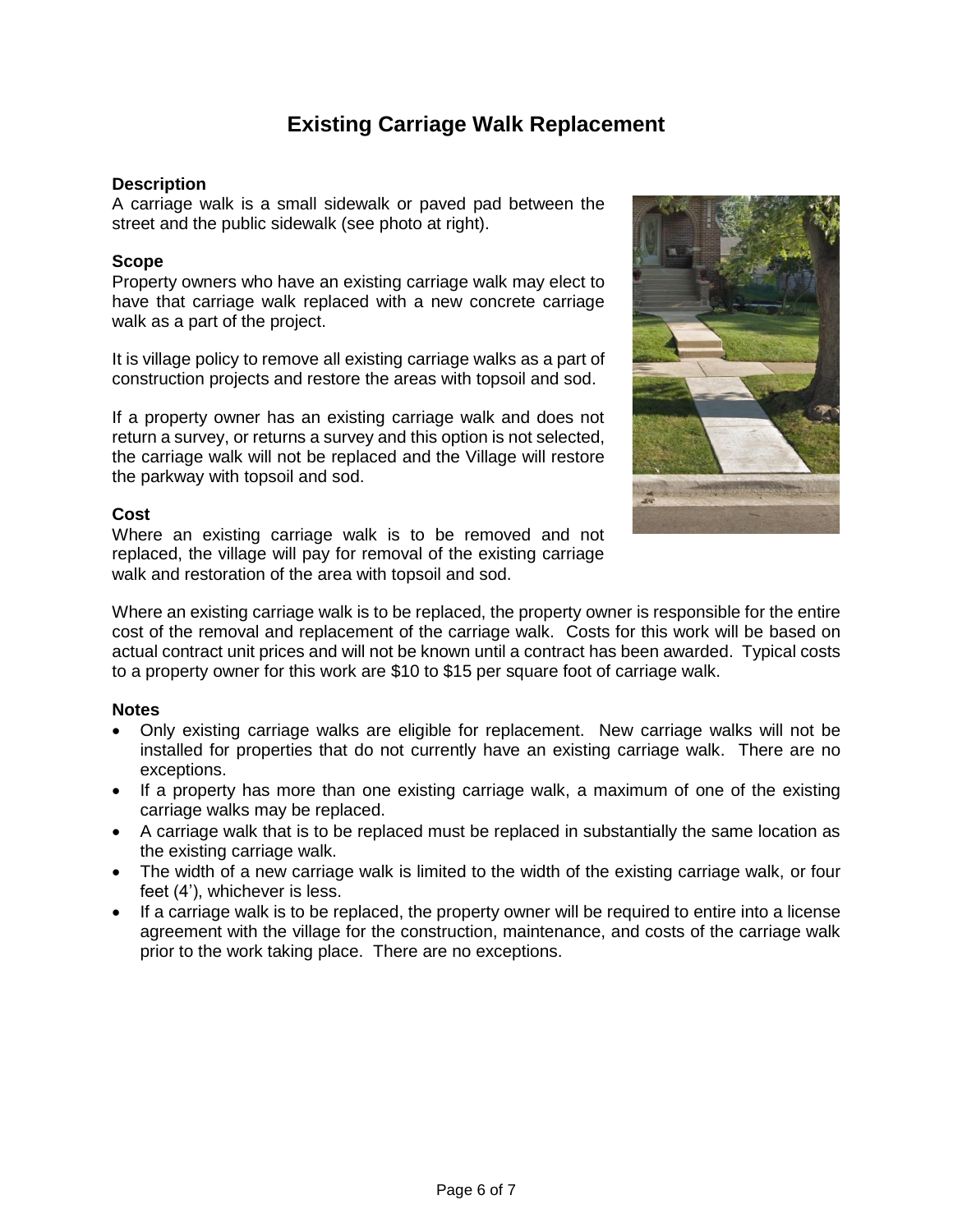# **Existing Carriage Walk Replacement**

# **Description**

A carriage walk is a small sidewalk or paved pad between the street and the public sidewalk (see photo at right).

## **Scope**

Property owners who have an existing carriage walk may elect to have that carriage walk replaced with a new concrete carriage walk as a part of the project.

It is village policy to remove all existing carriage walks as a part of construction projects and restore the areas with topsoil and sod.

If a property owner has an existing carriage walk and does not return a survey, or returns a survey and this option is not selected, the carriage walk will not be replaced and the Village will restore the parkway with topsoil and sod.

## **Cost**

Where an existing carriage walk is to be removed and not replaced, the village will pay for removal of the existing carriage walk and restoration of the area with topsoil and sod.



Where an existing carriage walk is to be replaced, the property owner is responsible for the entire cost of the removal and replacement of the carriage walk. Costs for this work will be based on actual contract unit prices and will not be known until a contract has been awarded. Typical costs to a property owner for this work are \$10 to \$15 per square foot of carriage walk.

#### **Notes**

- Only existing carriage walks are eligible for replacement. New carriage walks will not be installed for properties that do not currently have an existing carriage walk. There are no exceptions.
- If a property has more than one existing carriage walk, a maximum of one of the existing carriage walks may be replaced.
- A carriage walk that is to be replaced must be replaced in substantially the same location as the existing carriage walk.
- The width of a new carriage walk is limited to the width of the existing carriage walk, or four feet (4'), whichever is less.
- If a carriage walk is to be replaced, the property owner will be required to entire into a license agreement with the village for the construction, maintenance, and costs of the carriage walk prior to the work taking place. There are no exceptions.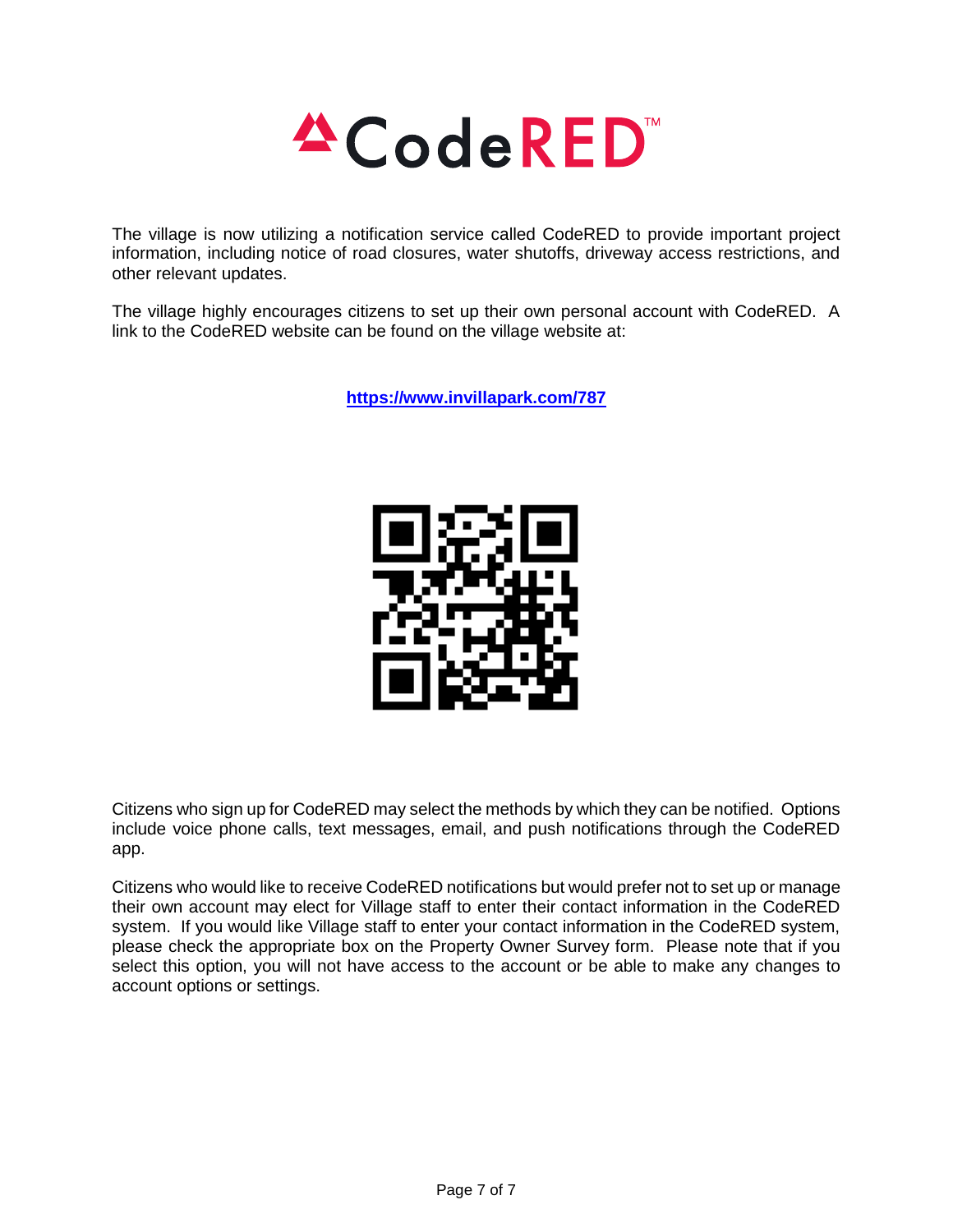

The village is now utilizing a notification service called CodeRED to provide important project information, including notice of road closures, water shutoffs, driveway access restrictions, and other relevant updates.

The village highly encourages citizens to set up their own personal account with CodeRED. A link to the CodeRED website can be found on the village website at:

**<https://www.invillapark.com/787>**



Citizens who sign up for CodeRED may select the methods by which they can be notified. Options include voice phone calls, text messages, email, and push notifications through the CodeRED app.

Citizens who would like to receive CodeRED notifications but would prefer not to set up or manage their own account may elect for Village staff to enter their contact information in the CodeRED system. If you would like Village staff to enter your contact information in the CodeRED system, please check the appropriate box on the Property Owner Survey form. Please note that if you select this option, you will not have access to the account or be able to make any changes to account options or settings.